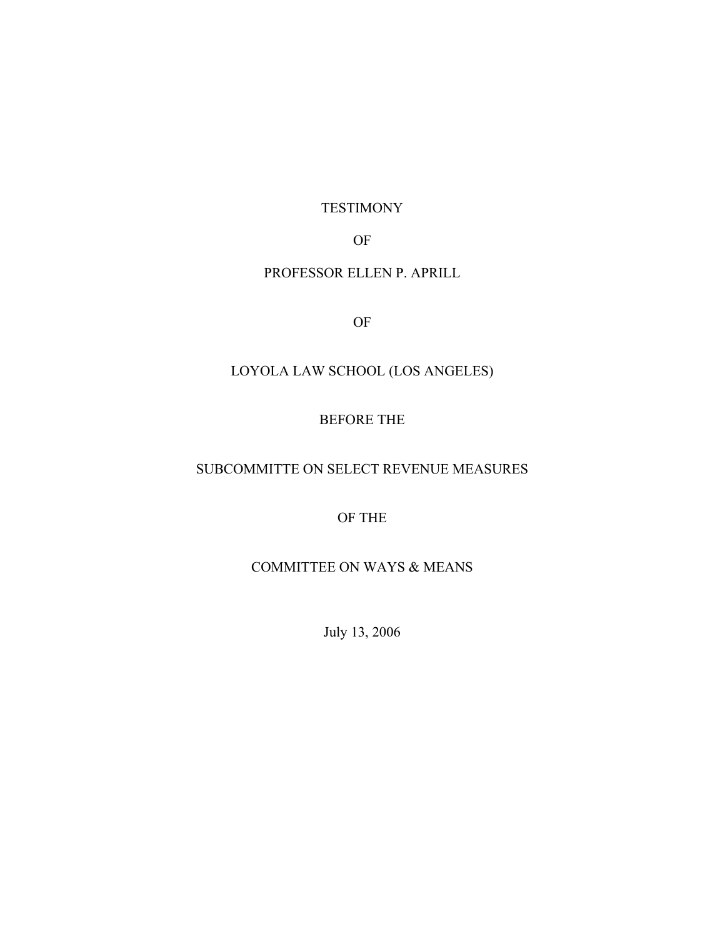## TESTIMONY

# OF

## PROFESSOR ELLEN P. APRILL

OF

# LOYOLA LAW SCHOOL (LOS ANGELES)

## BEFORE THE

# SUBCOMMITTE ON SELECT REVENUE MEASURES

# OF THE

# COMMITTEE ON WAYS & MEANS

July 13, 2006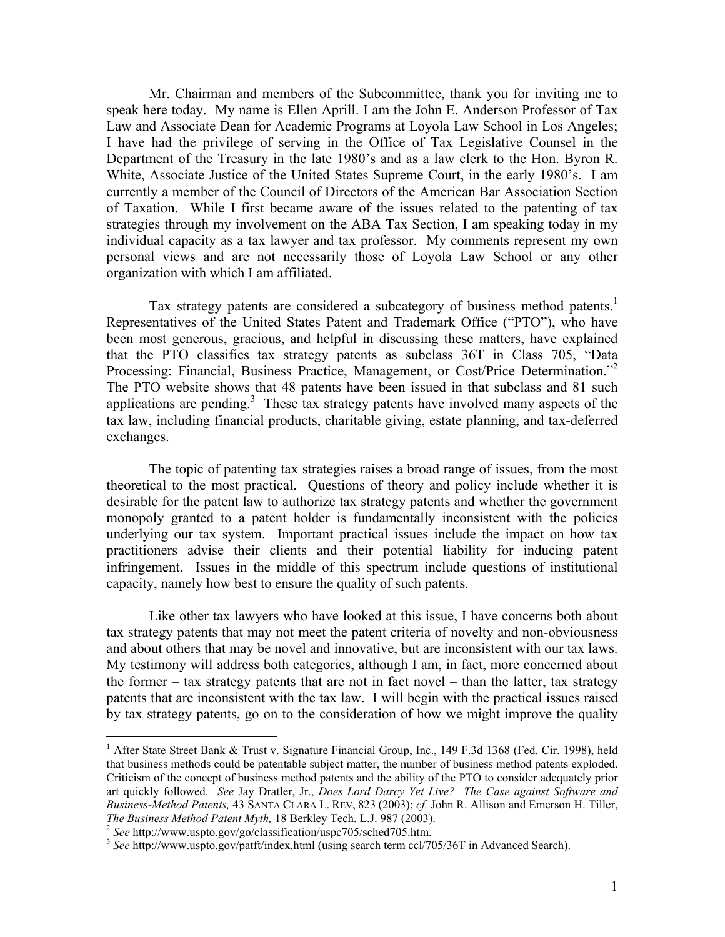Mr. Chairman and members of the Subcommittee, thank you for inviting me to speak here today. My name is Ellen Aprill. I am the John E. Anderson Professor of Tax Law and Associate Dean for Academic Programs at Loyola Law School in Los Angeles; I have had the privilege of serving in the Office of Tax Legislative Counsel in the Department of the Treasury in the late 1980's and as a law clerk to the Hon. Byron R. White, Associate Justice of the United States Supreme Court, in the early 1980's. I am currently a member of the Council of Directors of the American Bar Association Section of Taxation. While I first became aware of the issues related to the patenting of tax strategies through my involvement on the ABA Tax Section, I am speaking today in my individual capacity as a tax lawyer and tax professor. My comments represent my own personal views and are not necessarily those of Loyola Law School or any other organization with which I am affiliated.

Tax strategy patents are considered a subcategory of business method patents.<sup>1</sup> Representatives of the United States Patent and Trademark Office ("PTO"), who have been most generous, gracious, and helpful in discussing these matters, have explained that the PTO classifies tax strategy patents as subclass 36T in Class 705, "Data Processing: Financial, Business Practice, Management, or Cost/Price Determination."<sup>2</sup> The PTO website shows that 48 patents have been issued in that subclass and 81 such applications are pending.<sup>3</sup> These tax strategy patents have involved many aspects of the tax law, including financial products, charitable giving, estate planning, and tax-deferred exchanges.

The topic of patenting tax strategies raises a broad range of issues, from the most theoretical to the most practical. Questions of theory and policy include whether it is desirable for the patent law to authorize tax strategy patents and whether the government monopoly granted to a patent holder is fundamentally inconsistent with the policies underlying our tax system. Important practical issues include the impact on how tax practitioners advise their clients and their potential liability for inducing patent infringement. Issues in the middle of this spectrum include questions of institutional capacity, namely how best to ensure the quality of such patents.

Like other tax lawyers who have looked at this issue, I have concerns both about tax strategy patents that may not meet the patent criteria of novelty and non-obviousness and about others that may be novel and innovative, but are inconsistent with our tax laws. My testimony will address both categories, although I am, in fact, more concerned about the former – tax strategy patents that are not in fact novel – than the latter, tax strategy patents that are inconsistent with the tax law. I will begin with the practical issues raised by tax strategy patents, go on to the consideration of how we might improve the quality

1

<sup>&</sup>lt;sup>1</sup> After State Street Bank & Trust v. Signature Financial Group, Inc., 149 F.3d 1368 (Fed. Cir. 1998), held that business methods could be patentable subject matter, the number of business method patents exploded. Criticism of the concept of business method patents and the ability of the PTO to consider adequately prior art quickly followed. *See* Jay Dratler, Jr., *Does Lord Darcy Yet Live? The Case against Software and Business-Method Patents,* 43 SANTA CLARA L. REV, 823 (2003); *cf.* John R. Allison and Emerson H. Tiller,

<sup>2</sup> See http://www.uspto.gov/go/classification/uspc705/sched705.htm.<br>
<sup>3</sup> See http://www.uspto.gov/patft/index.html (using search term ccl/705/36T in Advanced Search).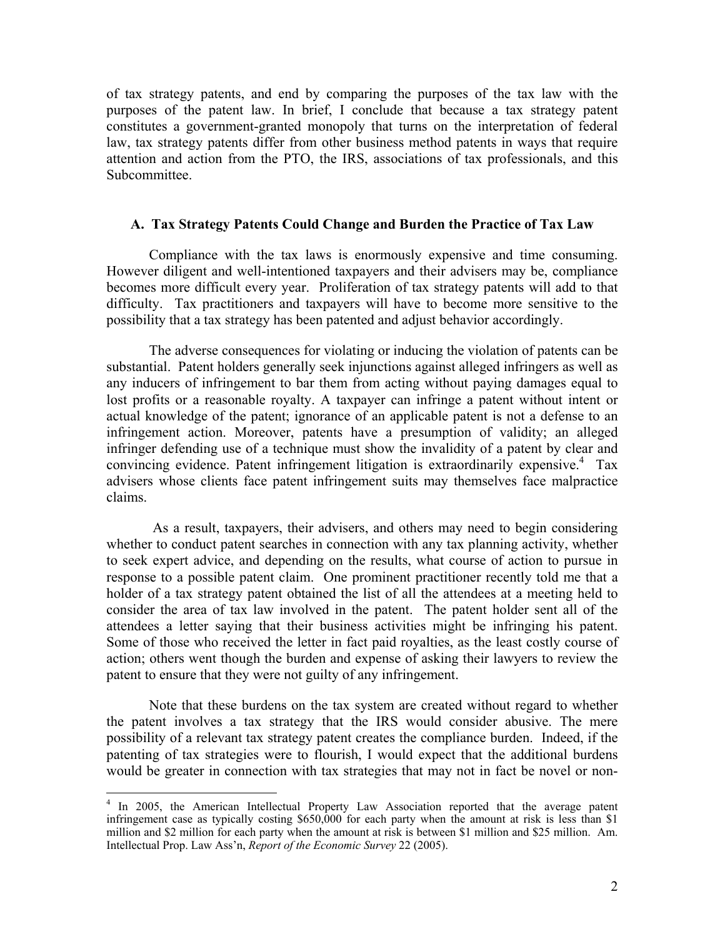of tax strategy patents, and end by comparing the purposes of the tax law with the purposes of the patent law. In brief, I conclude that because a tax strategy patent constitutes a government-granted monopoly that turns on the interpretation of federal law, tax strategy patents differ from other business method patents in ways that require attention and action from the PTO, the IRS, associations of tax professionals, and this Subcommittee.

### **A. Tax Strategy Patents Could Change and Burden the Practice of Tax Law**

Compliance with the tax laws is enormously expensive and time consuming. However diligent and well-intentioned taxpayers and their advisers may be, compliance becomes more difficult every year. Proliferation of tax strategy patents will add to that difficulty. Tax practitioners and taxpayers will have to become more sensitive to the possibility that a tax strategy has been patented and adjust behavior accordingly.

The adverse consequences for violating or inducing the violation of patents can be substantial. Patent holders generally seek injunctions against alleged infringers as well as any inducers of infringement to bar them from acting without paying damages equal to lost profits or a reasonable royalty. A taxpayer can infringe a patent without intent or actual knowledge of the patent; ignorance of an applicable patent is not a defense to an infringement action. Moreover, patents have a presumption of validity; an alleged infringer defending use of a technique must show the invalidity of a patent by clear and convincing evidence. Patent infringement litigation is extraordinarily expensive.<sup>4</sup> Tax advisers whose clients face patent infringement suits may themselves face malpractice claims.

 As a result, taxpayers, their advisers, and others may need to begin considering whether to conduct patent searches in connection with any tax planning activity, whether to seek expert advice, and depending on the results, what course of action to pursue in response to a possible patent claim. One prominent practitioner recently told me that a holder of a tax strategy patent obtained the list of all the attendees at a meeting held to consider the area of tax law involved in the patent. The patent holder sent all of the attendees a letter saying that their business activities might be infringing his patent. Some of those who received the letter in fact paid royalties, as the least costly course of action; others went though the burden and expense of asking their lawyers to review the patent to ensure that they were not guilty of any infringement.

Note that these burdens on the tax system are created without regard to whether the patent involves a tax strategy that the IRS would consider abusive. The mere possibility of a relevant tax strategy patent creates the compliance burden. Indeed, if the patenting of tax strategies were to flourish, I would expect that the additional burdens would be greater in connection with tax strategies that may not in fact be novel or non-

<sup>&</sup>lt;sup>4</sup> In 2005, the American Intellectual Property Law Association reported that the average patent infringement case as typically costing \$650,000 for each party when the amount at risk is less than \$1 million and \$2 million for each party when the amount at risk is between \$1 million and \$25 million. Am. Intellectual Prop. Law Ass'n, *Report of the Economic Survey* 22 (2005).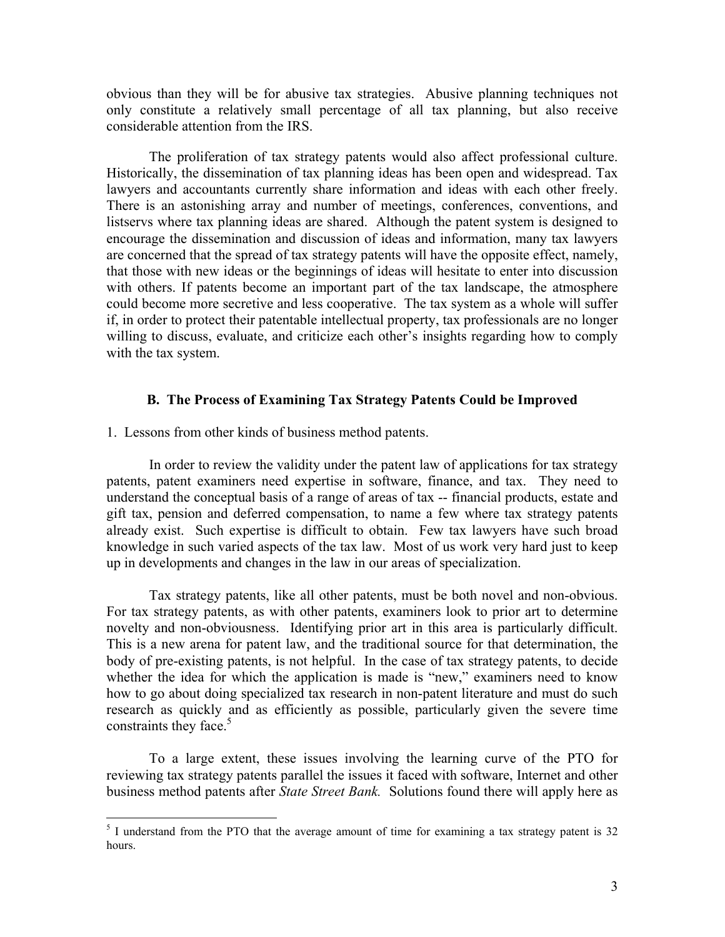obvious than they will be for abusive tax strategies. Abusive planning techniques not only constitute a relatively small percentage of all tax planning, but also receive considerable attention from the IRS.

The proliferation of tax strategy patents would also affect professional culture. Historically, the dissemination of tax planning ideas has been open and widespread. Tax lawyers and accountants currently share information and ideas with each other freely. There is an astonishing array and number of meetings, conferences, conventions, and listservs where tax planning ideas are shared. Although the patent system is designed to encourage the dissemination and discussion of ideas and information, many tax lawyers are concerned that the spread of tax strategy patents will have the opposite effect, namely, that those with new ideas or the beginnings of ideas will hesitate to enter into discussion with others. If patents become an important part of the tax landscape, the atmosphere could become more secretive and less cooperative. The tax system as a whole will suffer if, in order to protect their patentable intellectual property, tax professionals are no longer willing to discuss, evaluate, and criticize each other's insights regarding how to comply with the tax system.

### **B. The Process of Examining Tax Strategy Patents Could be Improved**

1. Lessons from other kinds of business method patents.

In order to review the validity under the patent law of applications for tax strategy patents, patent examiners need expertise in software, finance, and tax. They need to understand the conceptual basis of a range of areas of tax -- financial products, estate and gift tax, pension and deferred compensation, to name a few where tax strategy patents already exist. Such expertise is difficult to obtain. Few tax lawyers have such broad knowledge in such varied aspects of the tax law. Most of us work very hard just to keep up in developments and changes in the law in our areas of specialization.

Tax strategy patents, like all other patents, must be both novel and non-obvious. For tax strategy patents, as with other patents, examiners look to prior art to determine novelty and non-obviousness. Identifying prior art in this area is particularly difficult. This is a new arena for patent law, and the traditional source for that determination, the body of pre-existing patents, is not helpful. In the case of tax strategy patents, to decide whether the idea for which the application is made is "new," examiners need to know how to go about doing specialized tax research in non-patent literature and must do such research as quickly and as efficiently as possible, particularly given the severe time constraints they face. $5$ 

To a large extent, these issues involving the learning curve of the PTO for reviewing tax strategy patents parallel the issues it faced with software, Internet and other business method patents after *State Street Bank.* Solutions found there will apply here as

<sup>&</sup>lt;sup>5</sup> I understand from the PTO that the average amount of time for examining a tax strategy patent is 32 hours.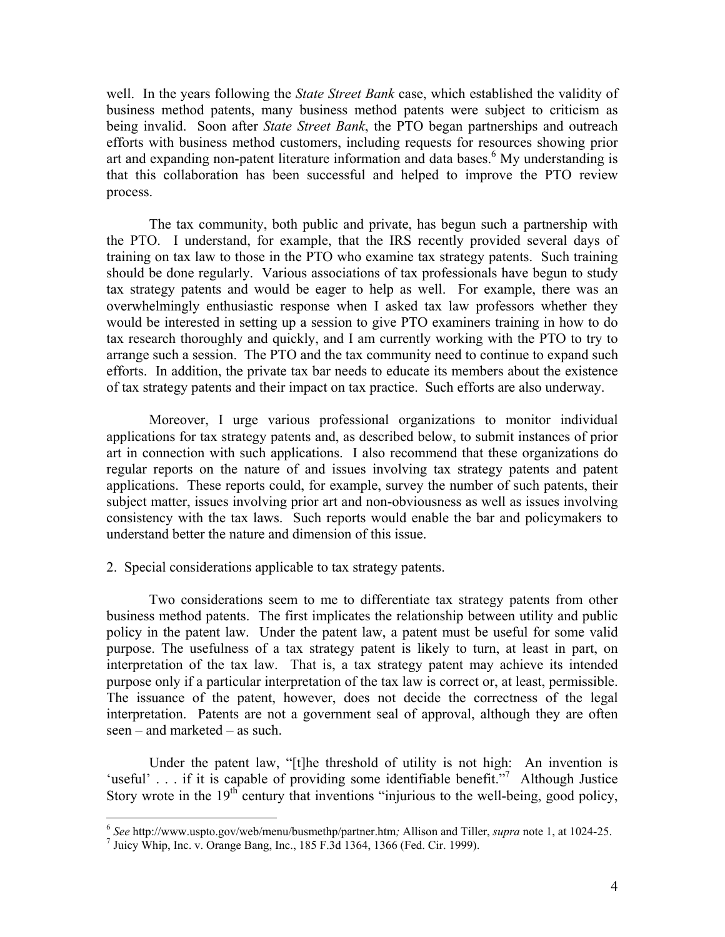well. In the years following the *State Street Bank* case, which established the validity of business method patents, many business method patents were subject to criticism as being invalid. Soon after *State Street Bank*, the PTO began partnerships and outreach efforts with business method customers, including requests for resources showing prior art and expanding non-patent literature information and data bases.<sup>6</sup> My understanding is that this collaboration has been successful and helped to improve the PTO review process.

The tax community, both public and private, has begun such a partnership with the PTO. I understand, for example, that the IRS recently provided several days of training on tax law to those in the PTO who examine tax strategy patents. Such training should be done regularly. Various associations of tax professionals have begun to study tax strategy patents and would be eager to help as well. For example, there was an overwhelmingly enthusiastic response when I asked tax law professors whether they would be interested in setting up a session to give PTO examiners training in how to do tax research thoroughly and quickly, and I am currently working with the PTO to try to arrange such a session. The PTO and the tax community need to continue to expand such efforts. In addition, the private tax bar needs to educate its members about the existence of tax strategy patents and their impact on tax practice. Such efforts are also underway.

Moreover, I urge various professional organizations to monitor individual applications for tax strategy patents and, as described below, to submit instances of prior art in connection with such applications. I also recommend that these organizations do regular reports on the nature of and issues involving tax strategy patents and patent applications. These reports could, for example, survey the number of such patents, their subject matter, issues involving prior art and non-obviousness as well as issues involving consistency with the tax laws. Such reports would enable the bar and policymakers to understand better the nature and dimension of this issue.

2. Special considerations applicable to tax strategy patents.

Two considerations seem to me to differentiate tax strategy patents from other business method patents. The first implicates the relationship between utility and public policy in the patent law. Under the patent law, a patent must be useful for some valid purpose. The usefulness of a tax strategy patent is likely to turn, at least in part, on interpretation of the tax law. That is, a tax strategy patent may achieve its intended purpose only if a particular interpretation of the tax law is correct or, at least, permissible. The issuance of the patent, however, does not decide the correctness of the legal interpretation. Patents are not a government seal of approval, although they are often seen – and marketed – as such.

Under the patent law, "[t]he threshold of utility is not high: An invention is 'useful' . . . if it is capable of providing some identifiable benefit."<sup>7</sup> Although Justice Story wrote in the  $19<sup>th</sup>$  century that inventions "injurious to the well-being, good policy,

 $\overline{a}$ 

<sup>6</sup> *See* http://www.uspto.gov/web/menu/busmethp/partner.htm*;* Allison and Tiller, *supra* note 1, at 1024-25. 7

 $<sup>7</sup>$  Juicy Whip, Inc. v. Orange Bang, Inc., 185 F.3d 1364, 1366 (Fed. Cir. 1999).</sup>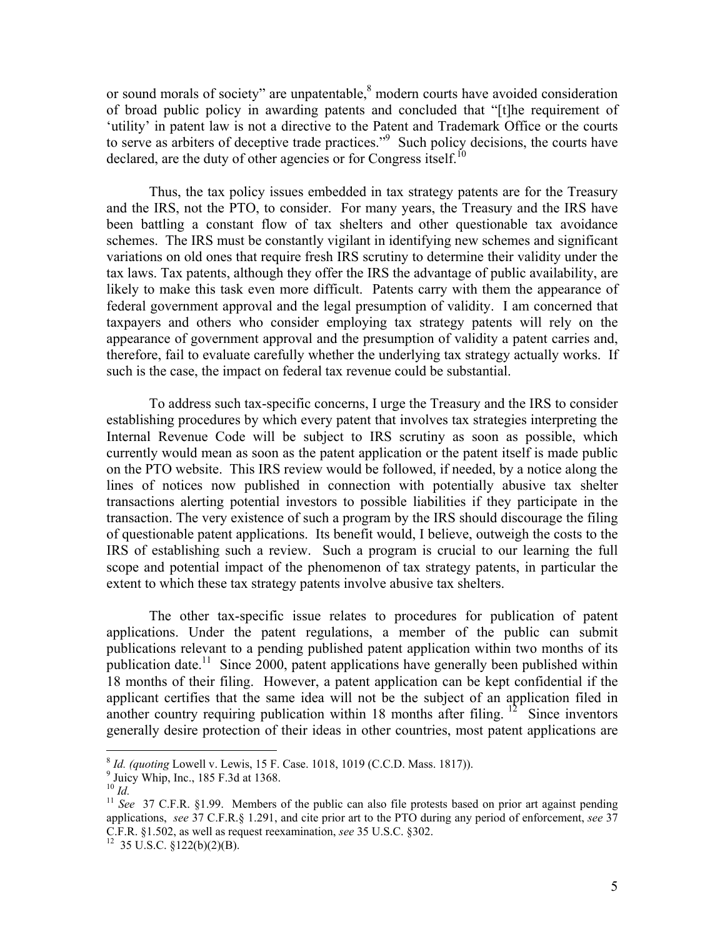or sound morals of society" are unpatentable, ${}^{8}$  modern courts have avoided consideration of broad public policy in awarding patents and concluded that "[t]he requirement of 'utility' in patent law is not a directive to the Patent and Trademark Office or the courts to serve as arbiters of deceptive trade practices."<sup>9</sup> Such policy decisions, the courts have declared, are the duty of other agencies or for Congress itself.<sup>10</sup>

Thus, the tax policy issues embedded in tax strategy patents are for the Treasury and the IRS, not the PTO, to consider. For many years, the Treasury and the IRS have been battling a constant flow of tax shelters and other questionable tax avoidance schemes. The IRS must be constantly vigilant in identifying new schemes and significant variations on old ones that require fresh IRS scrutiny to determine their validity under the tax laws. Tax patents, although they offer the IRS the advantage of public availability, are likely to make this task even more difficult. Patents carry with them the appearance of federal government approval and the legal presumption of validity. I am concerned that taxpayers and others who consider employing tax strategy patents will rely on the appearance of government approval and the presumption of validity a patent carries and, therefore, fail to evaluate carefully whether the underlying tax strategy actually works. If such is the case, the impact on federal tax revenue could be substantial.

To address such tax-specific concerns, I urge the Treasury and the IRS to consider establishing procedures by which every patent that involves tax strategies interpreting the Internal Revenue Code will be subject to IRS scrutiny as soon as possible, which currently would mean as soon as the patent application or the patent itself is made public on the PTO website. This IRS review would be followed, if needed, by a notice along the lines of notices now published in connection with potentially abusive tax shelter transactions alerting potential investors to possible liabilities if they participate in the transaction. The very existence of such a program by the IRS should discourage the filing of questionable patent applications. Its benefit would, I believe, outweigh the costs to the IRS of establishing such a review. Such a program is crucial to our learning the full scope and potential impact of the phenomenon of tax strategy patents, in particular the extent to which these tax strategy patents involve abusive tax shelters.

The other tax-specific issue relates to procedures for publication of patent applications. Under the patent regulations, a member of the public can submit publications relevant to a pending published patent application within two months of its publication date.<sup>11</sup> Since 2000, patent applications have generally been published within 18 months of their filing. However, a patent application can be kept confidential if the applicant certifies that the same idea will not be the subject of an application filed in another country requiring publication within 18 months after filing. <sup>12</sup> Since inventors generally desire protection of their ideas in other countries, most patent applications are

 $\overline{a}$ 

<sup>&</sup>lt;sup>8</sup> *Id. (quoting Lowell v. Lewis, 15 F. Case. 1018, 1019 (C.C.D. Mass. 1817)).* 

<sup>&</sup>lt;sup>9</sup> Juicy Whip, Inc., 185 F.3d at 1368.<br><sup>10</sup> Id

<sup>&</sup>lt;sup>11</sup> *See* 37 C.F.R. §1.99. Members of the public can also file protests based on prior art against pending applications, *see* 37 C.F.R.§ 1.291, and cite prior art to the PTO during any period of enforcement, *see* 37 C.F.R. §1.502, as well as request reexamination, *see* 35 U.S.C. §302. 12 35 U.S.C. §122(b)(2)(B).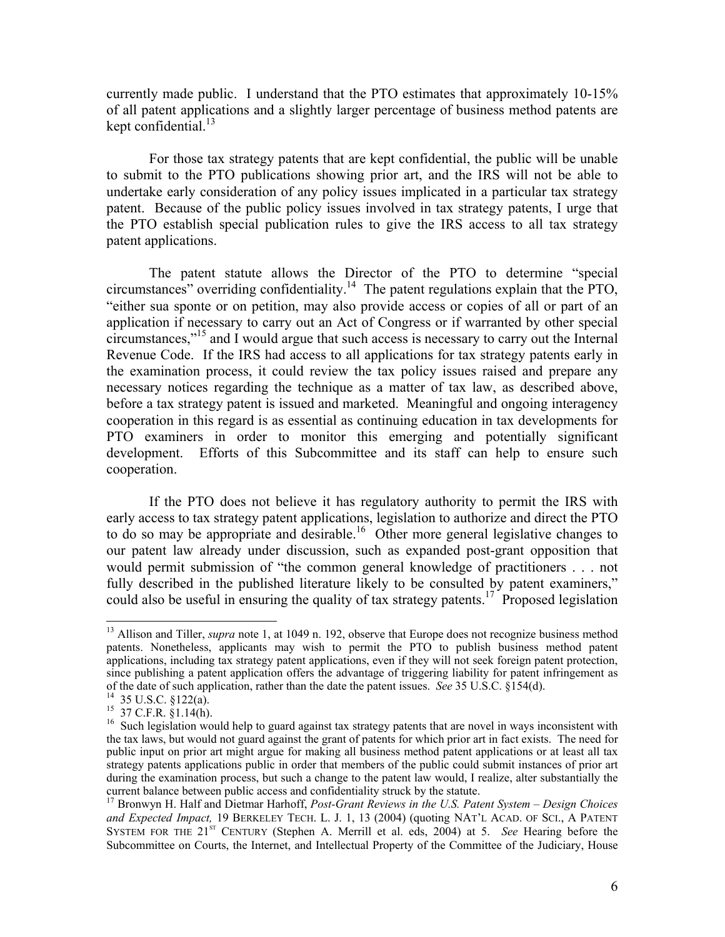currently made public. I understand that the PTO estimates that approximately 10-15% of all patent applications and a slightly larger percentage of business method patents are kept confidential. $^{13}$ 

For those tax strategy patents that are kept confidential, the public will be unable to submit to the PTO publications showing prior art, and the IRS will not be able to undertake early consideration of any policy issues implicated in a particular tax strategy patent. Because of the public policy issues involved in tax strategy patents, I urge that the PTO establish special publication rules to give the IRS access to all tax strategy patent applications.

The patent statute allows the Director of the PTO to determine "special circumstances" overriding confidentiality.14 The patent regulations explain that the PTO, "either sua sponte or on petition, may also provide access or copies of all or part of an application if necessary to carry out an Act of Congress or if warranted by other special circumstances,"15 and I would argue that such access is necessary to carry out the Internal Revenue Code. If the IRS had access to all applications for tax strategy patents early in the examination process, it could review the tax policy issues raised and prepare any necessary notices regarding the technique as a matter of tax law, as described above, before a tax strategy patent is issued and marketed. Meaningful and ongoing interagency cooperation in this regard is as essential as continuing education in tax developments for PTO examiners in order to monitor this emerging and potentially significant development. Efforts of this Subcommittee and its staff can help to ensure such cooperation.

If the PTO does not believe it has regulatory authority to permit the IRS with early access to tax strategy patent applications, legislation to authorize and direct the PTO to do so may be appropriate and desirable.<sup>16</sup> Other more general legislative changes to our patent law already under discussion, such as expanded post-grant opposition that would permit submission of "the common general knowledge of practitioners . . . not fully described in the published literature likely to be consulted by patent examiners," could also be useful in ensuring the quality of tax strategy patents.<sup>17</sup> Proposed legislation

 $\overline{a}$ 

<sup>&</sup>lt;sup>13</sup> Allison and Tiller, *supra* note 1, at 1049 n. 192, observe that Europe does not recognize business method patents. Nonetheless, applicants may wish to permit the PTO to publish business method patent applications, including tax strategy patent applications, even if they will not seek foreign patent protection, since publishing a patent application offers the advantage of triggering liability for patent infringement as of the date of such application, rather than the date the patent issues. *See* 35 U.S.C. §154(d). 14 35 U.S.C. §122(a).

 $15\,$  37 C.F.R.  $\S 1.14(h)$ .

<sup>&</sup>lt;sup>16</sup> Such legislation would help to guard against tax strategy patents that are novel in ways inconsistent with the tax laws, but would not guard against the grant of patents for which prior art in fact exists. The need for public input on prior art might argue for making all business method patent applications or at least all tax strategy patents applications public in order that members of the public could submit instances of prior art during the examination process, but such a change to the patent law would, I realize, alter substantially the current balance between public access and confidentiality struck by the statute. 17 Bronwyn H. Half and Dietmar Harhoff, *Post-Grant Reviews in the U.S. Patent System – Design Choices* 

*and Expected Impact,* 19 BERKELEY TECH. L. J. 1, 13 (2004) (quoting NAT'L ACAD. OF SCI., A PATENT SYSTEM FOR THE 21<sup>st</sup> CENTURY (Stephen A. Merrill et al. eds, 2004) at 5. *See* Hearing before the Subcommittee on Courts, the Internet, and Intellectual Property of the Committee of the Judiciary, House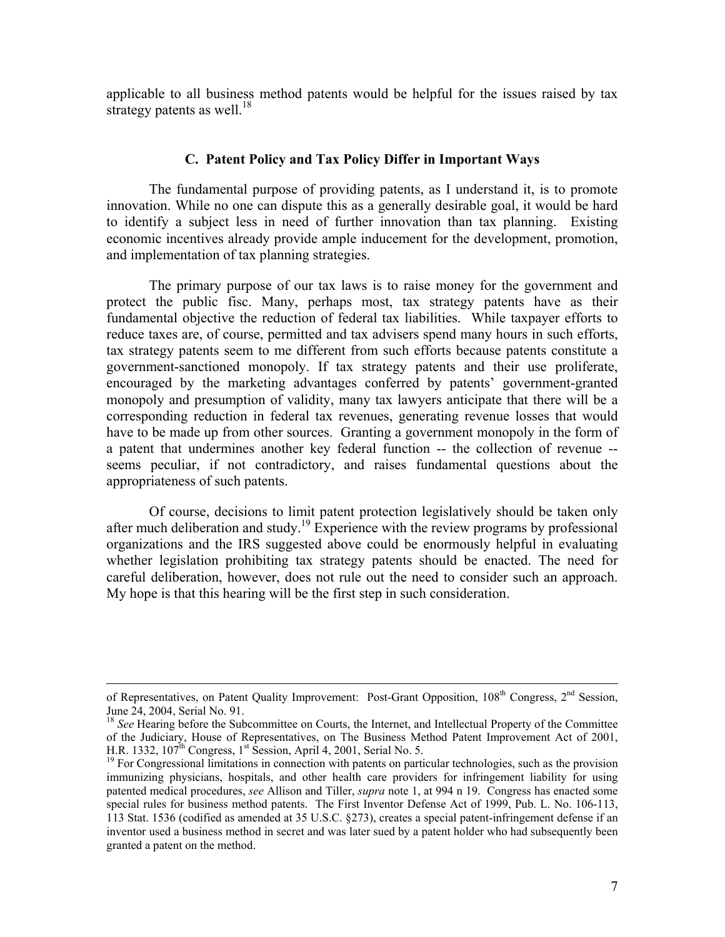applicable to all business method patents would be helpful for the issues raised by tax strategy patents as well.<sup>18</sup>

### **C. Patent Policy and Tax Policy Differ in Important Ways**

The fundamental purpose of providing patents, as I understand it, is to promote innovation. While no one can dispute this as a generally desirable goal, it would be hard to identify a subject less in need of further innovation than tax planning. Existing economic incentives already provide ample inducement for the development, promotion, and implementation of tax planning strategies.

The primary purpose of our tax laws is to raise money for the government and protect the public fisc. Many, perhaps most, tax strategy patents have as their fundamental objective the reduction of federal tax liabilities. While taxpayer efforts to reduce taxes are, of course, permitted and tax advisers spend many hours in such efforts, tax strategy patents seem to me different from such efforts because patents constitute a government-sanctioned monopoly. If tax strategy patents and their use proliferate, encouraged by the marketing advantages conferred by patents' government-granted monopoly and presumption of validity, many tax lawyers anticipate that there will be a corresponding reduction in federal tax revenues, generating revenue losses that would have to be made up from other sources. Granting a government monopoly in the form of a patent that undermines another key federal function -- the collection of revenue - seems peculiar, if not contradictory, and raises fundamental questions about the appropriateness of such patents.

Of course, decisions to limit patent protection legislatively should be taken only after much deliberation and study.<sup>19</sup> Experience with the review programs by professional organizations and the IRS suggested above could be enormously helpful in evaluating whether legislation prohibiting tax strategy patents should be enacted. The need for careful deliberation, however, does not rule out the need to consider such an approach. My hope is that this hearing will be the first step in such consideration.

of Representatives, on Patent Quality Improvement: Post-Grant Opposition, 108<sup>th</sup> Congress, 2<sup>nd</sup> Session, June 24, 2004, Serial No. 91.

<sup>&</sup>lt;sup>18</sup> *See* Hearing before the Subcommittee on Courts, the Internet, and Intellectual Property of the Committee of the Judiciary, House of Representatives, on The Business Method Patent Improvement Act of 2001, H.R. 1332, 107<sup>th</sup> Congress, 1<sup>st</sup> Session, April 4, 2001, Serial No. 5.

 $<sup>19</sup>$  For Congressional limitations in connection with patents on particular technologies, such as the provision</sup> immunizing physicians, hospitals, and other health care providers for infringement liability for using patented medical procedures, *see* Allison and Tiller, *supra* note 1, at 994 n 19. Congress has enacted some special rules for business method patents. The First Inventor Defense Act of 1999, Pub. L. No. 106-113, 113 Stat. 1536 (codified as amended at 35 U.S.C. §273), creates a special patent-infringement defense if an inventor used a business method in secret and was later sued by a patent holder who had subsequently been granted a patent on the method.